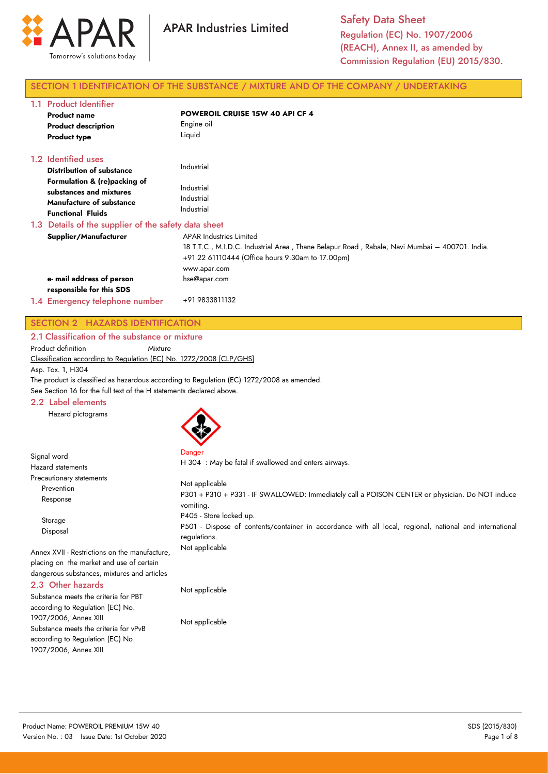

# SECTION 1 IDENTIFICATION OF THE SUBSTANCE / MIXTURE AND OF THE COMPANY / UNDERTAKING

| 1.1 Product Identifier<br><b>Product name</b><br><b>Product description</b><br><b>Product type</b>                                                                                | <b>POWEROIL CRUISE 15W 40 API CF 4</b><br>Engine oil<br>Liquid                                                                                                                                      |  |  |
|-----------------------------------------------------------------------------------------------------------------------------------------------------------------------------------|-----------------------------------------------------------------------------------------------------------------------------------------------------------------------------------------------------|--|--|
| 1.2 Identified uses<br><b>Distribution of substance</b><br>Formulation & (re)packing of<br>substances and mixtures<br><b>Manufacture of substance</b><br><b>Functional Fluids</b> | Industrial<br>Industrial<br>Industrial<br>Industrial                                                                                                                                                |  |  |
| 1.3 Details of the supplier of the safety data sheet                                                                                                                              |                                                                                                                                                                                                     |  |  |
| Supplier/Manufacturer                                                                                                                                                             | <b>APAR Industries Limited</b><br>18 T.T.C., M.I.D.C. Industrial Area, Thane Belapur Road, Rabale, Navi Mumbai – 400701. India.<br>+91 22 61110444 (Office hours 9.30am to 17.00pm)<br>www.apar.com |  |  |
| e- mail address of person<br>responsible for this SDS                                                                                                                             | hse@apar.com                                                                                                                                                                                        |  |  |
| 1.4 Emergency telephone number                                                                                                                                                    | +91 9833811132                                                                                                                                                                                      |  |  |

# SECTION 2 HAZARDS IDENTIFICATION

2.1 Classification of the substance or mixture

Product definition Mixture

Classification according to Regulation (EC) No. 1272/2008 [CLP/GHS]

Asp. Tox. 1, H304

Signal word

The product is classified as hazardous according to Regulation (EC) 1272/2008 as amended.

See Section 16 for the full text of the H statements declared above.

# 2.2 Label elements

Hazard pictograms



Danger

H 304 : May be fatal if swallowed and enters airways.

| <b>Hazard statements</b>                                                                                                                 | H SU4 . May be failed if swallowed and emers all ways.                                                                                             |
|------------------------------------------------------------------------------------------------------------------------------------------|----------------------------------------------------------------------------------------------------------------------------------------------------|
| Precautionary statements<br>Prevention<br>Response                                                                                       | Not applicable<br>P301 + P310 + P331 - IF SWALLOWED: Immediately call a POISON CENTER or physician. Do NOT induce<br>vomiting.                     |
| Storage<br>Disposal                                                                                                                      | P405 - Store locked up.<br>P501 - Dispose of contents/container in accordance with all local, regional, national and international<br>regulations. |
| Annex XVII - Restrictions on the manufacture,<br>placing on the market and use of certain<br>dangerous substances, mixtures and articles | Not applicable                                                                                                                                     |
| 2.3 Other hazards<br>Substance meets the criteria for PBT                                                                                | Not applicable                                                                                                                                     |

according to Regulation (EC) No. 1907/2006, Annex XIII Substance meets the criteria for vPvB according to Regulation (EC) No. 1907/2006, Annex XIII

Not applicable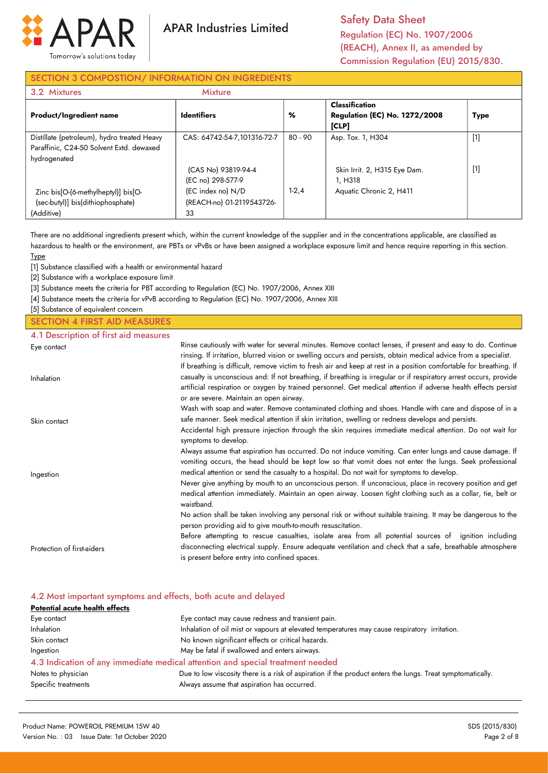

Safety Data Sheet Regulation (EC) No. 1907/2006 (REACH), Annex II, as amended by Commission Regulation (EU) 2015/830.

# SECTION 3 COMPOSTION/ INFORMATION ON INGREDIENTS

| 3.2 Mixtures                                | <b>Mixture</b>              |           |                                                                        |             |
|---------------------------------------------|-----------------------------|-----------|------------------------------------------------------------------------|-------------|
| <b>Product/Ingredient name</b>              | <b>Identifiers</b>          | %         | <b>Classification</b><br><b>Regulation (EC) No. 1272/2008</b><br>[CLP] | <b>Type</b> |
| Distillate (petroleum), hydro treated Heavy | CAS: 64742-54-7.101316-72-7 | $80 - 90$ | Asp. Tox. 1, H304                                                      | $[1]$       |
| Paraffinic, C24-50 Solvent Extd. dewaxed    |                             |           |                                                                        |             |
| hydrogenated                                |                             |           |                                                                        |             |
|                                             | (CAS No) 93819-94-4         |           | Skin Irrit. 2, H315 Eye Dam.                                           | $[1]$       |
|                                             | (EC no) 298-577-9           |           | 1. H318                                                                |             |
| Zinc bis[O-(6-methylheptyl)] bis[O-         | (EC index no) N/D           | $1-2,4$   | Aquatic Chronic 2, H411                                                |             |
| (sec-butyl)] bis(dithiophosphate)           | (REACH-no) 01-2119543726-   |           |                                                                        |             |
| (Additive)                                  | 33                          |           |                                                                        |             |

There are no additional ingredients present which, within the current knowledge of the supplier and in the concentrations applicable, are classified as hazardous to health or the environment, are PBTs or vPvBs or have been assigned a workplace exposure limit and hence require reporting in this section. Type

[1] Substance classified with a health or environmental hazard

[2] Substance with a workplace exposure limit

[3] Substance meets the criteria for PBT according to Regulation (EC) No. 1907/2006, Annex XIII

[4] Substance meets the criteria for vPvB according to Regulation (EC) No. 1907/2006, Annex XIII

[5] Substance of equivalent concern

# SECTION 4 FIRST AID MEASURES

4.1 Description of first aid measures

| Eye contact                | Rinse cautiously with water for several minutes. Remove contact lenses, if present and easy to do. Continue<br>rinsing. If irritation, blurred vision or swelling occurs and persists, obtain medical advice from a specialist.                                                                                                                           |
|----------------------------|-----------------------------------------------------------------------------------------------------------------------------------------------------------------------------------------------------------------------------------------------------------------------------------------------------------------------------------------------------------|
| Inhalation                 | If breathing is difficult, remove victim to fresh air and keep at rest in a position comfortable for breathing. If<br>casualty is unconscious and: If not breathing, if breathing is irregular or if respiratory arrest occurs, provide<br>artificial respiration or oxygen by trained personnel. Get medical attention if adverse health effects persist |
|                            | or are severe. Maintain an open airway.                                                                                                                                                                                                                                                                                                                   |
| Skin contact               | Wash with soap and water. Remove contaminated clothing and shoes. Handle with care and dispose of in a<br>safe manner. Seek medical attention if skin irritation, swelling or redness develops and persists.                                                                                                                                              |
|                            | Accidental high pressure injection through the skin requires immediate medical attention. Do not wait for<br>symptoms to develop.                                                                                                                                                                                                                         |
|                            | Always assume that aspiration has occurred. Do not induce vomiting. Can enter lungs and cause damage. If<br>vomiting occurs, the head should be kept low so that vomit does not enter the lungs. Seek professional<br>medical attention or send the casualty to a hospital. Do not wait for symptoms to develop.                                          |
| Ingestion                  | Never give anything by mouth to an unconscious person. If unconscious, place in recovery position and get<br>medical attention immediately. Maintain an open airway. Loosen tight clothing such as a collar, tie, belt or<br>waistband.                                                                                                                   |
|                            | No action shall be taken involving any personal risk or without suitable training. It may be dangerous to the<br>person providing aid to give mouth-to-mouth resuscitation.                                                                                                                                                                               |
| Protection of first-aiders | Before attempting to rescue casualties, isolate area from all potential sources of ignition including<br>disconnecting electrical supply. Ensure adequate ventilation and check that a safe, breathable atmosphere<br>is present before entry into confined spaces.                                                                                       |

| 4.2 Most important symptoms and effects, both acute and delayed                                                                  |                                                                                              |  |  |
|----------------------------------------------------------------------------------------------------------------------------------|----------------------------------------------------------------------------------------------|--|--|
| <b>Potential acute health effects</b>                                                                                            |                                                                                              |  |  |
| Eye contact                                                                                                                      | Eye contact may cause redness and transient pain.                                            |  |  |
| Inhalation                                                                                                                       | Inhalation of oil mist or vapours at elevated temperatures may cause respiratory irritation. |  |  |
| Skin contact                                                                                                                     | No known significant effects or critical hazards.                                            |  |  |
| Ingestion                                                                                                                        | May be fatal if swallowed and enters airways.                                                |  |  |
|                                                                                                                                  | 4.3 Indication of any immediate medical attention and special treatment needed               |  |  |
| Due to low viscosity there is a risk of aspiration if the product enters the lungs. Treat symptomatically.<br>Notes to physician |                                                                                              |  |  |
| Specific treatments                                                                                                              | Always assume that aspiration has occurred.                                                  |  |  |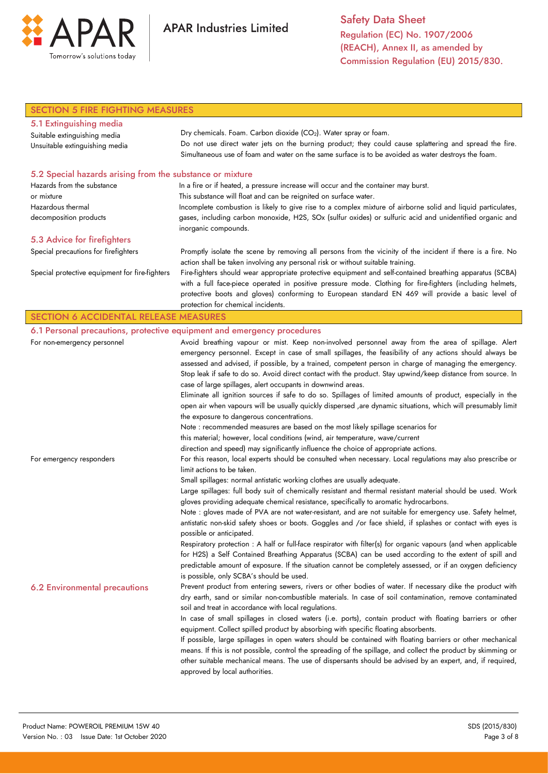

Safety Data Sheet Regulation (EC) No. 1907/2006 (REACH), Annex II, as amended by Commission Regulation (EU) 2015/830.

| <b>SECTION 5 FIRE FIGHTING MEASURES</b>                   |                                                                                                                                                                      |  |  |
|-----------------------------------------------------------|----------------------------------------------------------------------------------------------------------------------------------------------------------------------|--|--|
| 5.1 Extinguishing media                                   |                                                                                                                                                                      |  |  |
| Suitable extinguishing media                              | Dry chemicals. Foam. Carbon dioxide (CO <sub>2</sub> ). Water spray or foam.                                                                                         |  |  |
| Unsuitable extinguishing media                            | Do not use direct water jets on the burning product; they could cause splattering and spread the fire.                                                               |  |  |
|                                                           | Simultaneous use of foam and water on the same surface is to be avoided as water destroys the foam.                                                                  |  |  |
| 5.2 Special hazards arising from the substance or mixture |                                                                                                                                                                      |  |  |
| Hazards from the substance                                | In a fire or if heated, a pressure increase will occur and the container may burst.                                                                                  |  |  |
| or mixture                                                | This substance will float and can be reignited on surface water.                                                                                                     |  |  |
| Hazardous thermal                                         | Incomplete combustion is likely to give rise to a complex mixture of airborne solid and liquid particulates,                                                         |  |  |
| decomposition products                                    | gases, including carbon monoxide, H2S, SOx (sulfur oxides) or sulfuric acid and unidentified organic and<br>inorganic compounds.                                     |  |  |
| 5.3 Advice for firefighters                               |                                                                                                                                                                      |  |  |
| Special precautions for firefighters                      | Promptly isolate the scene by removing all persons from the vicinity of the incident if there is a fire. No                                                          |  |  |
|                                                           | action shall be taken involving any personal risk or without suitable training.                                                                                      |  |  |
| Special protective equipment for fire-fighters            | Fire-fighters should wear appropriate protective equipment and self-contained breathing apparatus (SCBA)                                                             |  |  |
|                                                           | with a full face-piece operated in positive pressure mode. Clothing for fire-fighters (including helmets,                                                            |  |  |
|                                                           | protective boots and gloves) conforming to European standard EN 469 will provide a basic level of                                                                    |  |  |
|                                                           | protection for chemical incidents.                                                                                                                                   |  |  |
| <b>SECTION 6 ACCIDENTAL RELEASE MEASURES</b>              |                                                                                                                                                                      |  |  |
|                                                           | 6.1 Personal precautions, protective equipment and emergency procedures                                                                                              |  |  |
| For non-emergency personnel                               | Avoid breathing vapour or mist. Keep non-involved personnel away from the area of spillage. Alert                                                                    |  |  |
|                                                           | emergency personnel. Except in case of small spillages, the feasibility of any actions should always be                                                              |  |  |
|                                                           | assessed and advised, if possible, by a trained, competent person in charge of managing the emergency.                                                               |  |  |
|                                                           | Stop leak if safe to do so. Avoid direct contact with the product. Stay upwind/keep distance from source. In                                                         |  |  |
|                                                           | case of large spillages, alert occupants in downwind areas.                                                                                                          |  |  |
|                                                           | Eliminate all ignition sources if safe to do so. Spillages of limited amounts of product, especially in the                                                          |  |  |
|                                                           | open air when vapours will be usually quickly dispersed ,are dynamic situations, which will presumably limit                                                         |  |  |
|                                                           | the exposure to dangerous concentrations.                                                                                                                            |  |  |
|                                                           | Note : recommended measures are based on the most likely spillage scenarios for                                                                                      |  |  |
|                                                           | this material; however, local conditions (wind, air temperature, wave/current<br>direction and speed) may significantly influence the choice of appropriate actions. |  |  |
| For emergency responders                                  | For this reason, local experts should be consulted when necessary. Local regulations may also prescribe or                                                           |  |  |
|                                                           | limit actions to be taken.                                                                                                                                           |  |  |
|                                                           | Small spillages: normal antistatic working clothes are usually adequate.                                                                                             |  |  |
|                                                           | Large spillages: full body suit of chemically resistant and thermal resistant material should be used. Work                                                          |  |  |
|                                                           | gloves providing adequate chemical resistance, specifically to aromatic hydrocarbons.                                                                                |  |  |
|                                                           | Note : gloves made of PVA are not water-resistant, and are not suitable for emergency use. Safety helmet,                                                            |  |  |
|                                                           | antistatic non-skid safety shoes or boots. Goggles and /or face shield, if splashes or contact with eyes is                                                          |  |  |
|                                                           | possible or anticipated.                                                                                                                                             |  |  |
|                                                           | Respiratory protection : A half or full-face respirator with filter(s) for organic vapours (and when applicable                                                      |  |  |
|                                                           | for H2S) a Self Contained Breathing Apparatus (SCBA) can be used according to the extent of spill and                                                                |  |  |
|                                                           | predictable amount of exposure. If the situation cannot be completely assessed, or if an oxygen deficiency                                                           |  |  |
|                                                           | is possible, only SCBA's should be used.                                                                                                                             |  |  |
| <b>6.2 Environmental precautions</b>                      | Prevent product from entering sewers, rivers or other bodies of water. If necessary dike the product with                                                            |  |  |
|                                                           | dry earth, sand or similar non-combustible materials. In case of soil contamination, remove contaminated                                                             |  |  |
|                                                           | soil and treat in accordance with local regulations.                                                                                                                 |  |  |
|                                                           | In case of small spillages in closed waters (i.e. ports), contain product with floating barriers or other                                                            |  |  |
|                                                           | equipment. Collect spilled product by absorbing with specific floating absorbents.                                                                                   |  |  |
|                                                           | If possible, large spillages in open waters should be contained with floating barriers or other mechanical                                                           |  |  |
|                                                           | means. If this is not possible, control the spreading of the spillage, and collect the product by skimming or                                                        |  |  |
|                                                           | other suitable mechanical means. The use of dispersants should be advised by an expert, and, if required,                                                            |  |  |
|                                                           | approved by local authorities.                                                                                                                                       |  |  |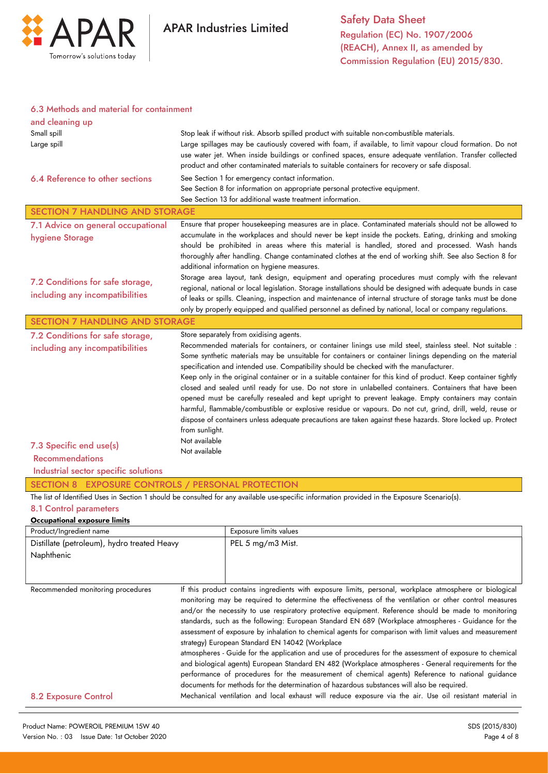

## 6.3 Methods and material for containment

| and cleaning up<br>Small spill<br>Large spill<br>6.4 Reference to other sections                                                                                                                                                                                                                                                                                                                                                                                                                                                                                                                                                                                                                                                                                                                                                                                                                                                                                                                                                                                                                                                                                                                                                                                                                                                                                                    | Stop leak if without risk. Absorb spilled product with suitable non-combustible materials.<br>Large spillages may be cautiously covered with foam, if available, to limit vapour cloud formation. Do not<br>use water jet. When inside buildings or confined spaces, ensure adequate ventilation. Transfer collected<br>product and other contaminated materials to suitable containers for recovery or safe disposal.<br>See Section 1 for emergency contact information.<br>See Section 8 for information on appropriate personal protective equipment.<br>See Section 13 for additional waste treatment information.                                                                                                                                                                                                                                                                                                                                                                                                                                                                                                             |  |
|-------------------------------------------------------------------------------------------------------------------------------------------------------------------------------------------------------------------------------------------------------------------------------------------------------------------------------------------------------------------------------------------------------------------------------------------------------------------------------------------------------------------------------------------------------------------------------------------------------------------------------------------------------------------------------------------------------------------------------------------------------------------------------------------------------------------------------------------------------------------------------------------------------------------------------------------------------------------------------------------------------------------------------------------------------------------------------------------------------------------------------------------------------------------------------------------------------------------------------------------------------------------------------------------------------------------------------------------------------------------------------------|-------------------------------------------------------------------------------------------------------------------------------------------------------------------------------------------------------------------------------------------------------------------------------------------------------------------------------------------------------------------------------------------------------------------------------------------------------------------------------------------------------------------------------------------------------------------------------------------------------------------------------------------------------------------------------------------------------------------------------------------------------------------------------------------------------------------------------------------------------------------------------------------------------------------------------------------------------------------------------------------------------------------------------------------------------------------------------------------------------------------------------------|--|
| <b>SECTION 7 HANDLING AND STORAGE</b>                                                                                                                                                                                                                                                                                                                                                                                                                                                                                                                                                                                                                                                                                                                                                                                                                                                                                                                                                                                                                                                                                                                                                                                                                                                                                                                                               |                                                                                                                                                                                                                                                                                                                                                                                                                                                                                                                                                                                                                                                                                                                                                                                                                                                                                                                                                                                                                                                                                                                                     |  |
| 7.1 Advice on general occupational<br>hygiene Storage                                                                                                                                                                                                                                                                                                                                                                                                                                                                                                                                                                                                                                                                                                                                                                                                                                                                                                                                                                                                                                                                                                                                                                                                                                                                                                                               | Ensure that proper housekeeping measures are in place. Contaminated materials should not be allowed to<br>accumulate in the workplaces and should never be kept inside the pockets. Eating, drinking and smoking<br>should be prohibited in areas where this material is handled, stored and processed. Wash hands<br>thoroughly after handling. Change contaminated clothes at the end of working shift. See also Section 8 for<br>additional information on hygiene measures.<br>Storage area layout, tank design, equipment and operating procedures must comply with the relevant                                                                                                                                                                                                                                                                                                                                                                                                                                                                                                                                               |  |
| 7.2 Conditions for safe storage,<br>including any incompatibilities                                                                                                                                                                                                                                                                                                                                                                                                                                                                                                                                                                                                                                                                                                                                                                                                                                                                                                                                                                                                                                                                                                                                                                                                                                                                                                                 | regional, national or local legislation. Storage installations should be designed with adequate bunds in case<br>of leaks or spills. Cleaning, inspection and maintenance of internal structure of storage tanks must be done<br>only by properly equipped and qualified personnel as defined by national, local or company regulations.                                                                                                                                                                                                                                                                                                                                                                                                                                                                                                                                                                                                                                                                                                                                                                                            |  |
| <b>SECTION 7 HANDLING AND STORAGE</b>                                                                                                                                                                                                                                                                                                                                                                                                                                                                                                                                                                                                                                                                                                                                                                                                                                                                                                                                                                                                                                                                                                                                                                                                                                                                                                                                               |                                                                                                                                                                                                                                                                                                                                                                                                                                                                                                                                                                                                                                                                                                                                                                                                                                                                                                                                                                                                                                                                                                                                     |  |
| Store separately from oxidising agents.<br>7.2 Conditions for safe storage,<br>Recommended materials for containers, or container linings use mild steel, stainless steel. Not suitable :<br>including any incompatibilities<br>Some synthetic materials may be unsuitable for containers or container linings depending on the material<br>specification and intended use. Compatibility should be checked with the manufacturer.<br>Keep only in the original container or in a suitable container for this kind of product. Keep container tightly<br>closed and sealed until ready for use. Do not store in unlabelled containers. Containers that have been<br>opened must be carefully resealed and kept upright to prevent leakage. Empty containers may contain<br>harmful, flammable/combustible or explosive residue or vapours. Do not cut, grind, drill, weld, reuse or<br>dispose of containers unless adequate precautions are taken against these hazards. Store locked up. Protect<br>from sunlight.<br>Not available<br>7.3 Specific end use(s)<br>Not available<br><b>Recommendations</b><br>Industrial sector specific solutions<br>SECTION 8 EXPOSURE CONTROLS / PERSONAL PROTECTION<br>The list of Identified Uses in Section 1 should be consulted for any available use-specific information provided in the Exposure Scenario(s).<br>8.1 Control parameters |                                                                                                                                                                                                                                                                                                                                                                                                                                                                                                                                                                                                                                                                                                                                                                                                                                                                                                                                                                                                                                                                                                                                     |  |
| Occupational exposure limits                                                                                                                                                                                                                                                                                                                                                                                                                                                                                                                                                                                                                                                                                                                                                                                                                                                                                                                                                                                                                                                                                                                                                                                                                                                                                                                                                        |                                                                                                                                                                                                                                                                                                                                                                                                                                                                                                                                                                                                                                                                                                                                                                                                                                                                                                                                                                                                                                                                                                                                     |  |
| Product/Ingredient name                                                                                                                                                                                                                                                                                                                                                                                                                                                                                                                                                                                                                                                                                                                                                                                                                                                                                                                                                                                                                                                                                                                                                                                                                                                                                                                                                             | Exposure limits values                                                                                                                                                                                                                                                                                                                                                                                                                                                                                                                                                                                                                                                                                                                                                                                                                                                                                                                                                                                                                                                                                                              |  |
| Distillate (petroleum), hydro treated Heavy<br>Naphthenic                                                                                                                                                                                                                                                                                                                                                                                                                                                                                                                                                                                                                                                                                                                                                                                                                                                                                                                                                                                                                                                                                                                                                                                                                                                                                                                           | PEL 5 mg/m3 Mist.                                                                                                                                                                                                                                                                                                                                                                                                                                                                                                                                                                                                                                                                                                                                                                                                                                                                                                                                                                                                                                                                                                                   |  |
| Recommended monitoring procedures<br><b>8.2 Exposure Control</b>                                                                                                                                                                                                                                                                                                                                                                                                                                                                                                                                                                                                                                                                                                                                                                                                                                                                                                                                                                                                                                                                                                                                                                                                                                                                                                                    | If this product contains ingredients with exposure limits, personal, workplace atmosphere or biological<br>monitoring may be required to determine the effectiveness of the ventilation or other control measures<br>and/or the necessity to use respiratory protective equipment. Reference should be made to monitoring<br>standards, such as the following: European Standard EN 689 (Workplace atmospheres - Guidance for the<br>assessment of exposure by inhalation to chemical agents for comparison with limit values and measurement<br>strategy) European Standard EN 14042 (Workplace<br>atmospheres - Guide for the application and use of procedures for the assessment of exposure to chemical<br>and biological agents) European Standard EN 482 (Workplace atmospheres - General requirements for the<br>performance of procedures for the measurement of chemical agents) Reference to national guidance<br>documents for methods for the determination of hazardous substances will also be required.<br>Mechanical ventilation and local exhaust will reduce exposure via the air. Use oil resistant material in |  |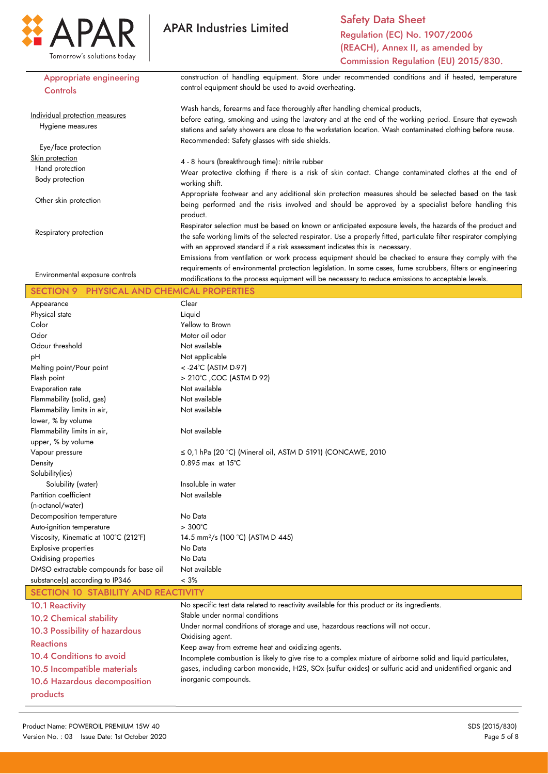

Safety Data Sheet Regulation (EC) No. 1907/2006 (REACH), Annex II, as amended by Commission Regulation (EU) 2015/830.

| Appropriate engineering                                | construction of handling equipment. Store under recommended conditions and if heated, temperature                  |  |  |
|--------------------------------------------------------|--------------------------------------------------------------------------------------------------------------------|--|--|
| Controls                                               | control equipment should be used to avoid overheating.                                                             |  |  |
|                                                        |                                                                                                                    |  |  |
|                                                        | Wash hands, forearms and face thoroughly after handling chemical products,                                         |  |  |
| Individual protection measures                         | before eating, smoking and using the lavatory and at the end of the working period. Ensure that eyewash            |  |  |
| Hygiene measures                                       | stations and safety showers are close to the workstation location. Wash contaminated clothing before reuse.        |  |  |
|                                                        | Recommended: Safety glasses with side shields.                                                                     |  |  |
| Eye/face protection                                    |                                                                                                                    |  |  |
| Skin protection                                        | 4 - 8 hours (breakthrough time): nitrile rubber                                                                    |  |  |
| Hand protection                                        | Wear protective clothing if there is a risk of skin contact. Change contaminated clothes at the end of             |  |  |
| Body protection                                        | working shift.                                                                                                     |  |  |
|                                                        | Appropriate footwear and any additional skin protection measures should be selected based on the task              |  |  |
| Other skin protection                                  | being performed and the risks involved and should be approved by a specialist before handling this                 |  |  |
|                                                        | product.                                                                                                           |  |  |
|                                                        | Respirator selection must be based on known or anticipated exposure levels, the hazards of the product and         |  |  |
| Respiratory protection                                 | the safe working limits of the selected respirator. Use a properly fitted, particulate filter respirator complying |  |  |
|                                                        | with an approved standard if a risk assessment indicates this is necessary.                                        |  |  |
|                                                        | Emissions from ventilation or work process equipment should be checked to ensure they comply with the              |  |  |
|                                                        | requirements of environmental protection legislation. In some cases, fume scrubbers, filters or engineering        |  |  |
| Environmental exposure controls                        | modifications to the process equipment will be necessary to reduce emissions to acceptable levels.                 |  |  |
| PHYSICAL AND CHEMICAL PROPERTIES<br><b>SECTION 9</b>   |                                                                                                                    |  |  |
| Appearance                                             | Clear                                                                                                              |  |  |
| Physical state                                         | Liquid                                                                                                             |  |  |
| Color                                                  | Yellow to Brown                                                                                                    |  |  |
| Odor                                                   | Motor oil odor                                                                                                     |  |  |
| Odour threshold                                        | Not available                                                                                                      |  |  |
| pH                                                     |                                                                                                                    |  |  |
|                                                        | Not applicable                                                                                                     |  |  |
| Melting point/Pour point                               | < -24°C (ASTM D-97)<br>> 210°C, COC (ASTM D 92)                                                                    |  |  |
| Flash point                                            | Not available                                                                                                      |  |  |
| Evaporation rate                                       | Not available                                                                                                      |  |  |
| Flammability (solid, gas)                              | Not available                                                                                                      |  |  |
| Flammability limits in air,<br>lower, % by volume      |                                                                                                                    |  |  |
| Flammability limits in air,                            | Not available                                                                                                      |  |  |
| upper, % by volume                                     |                                                                                                                    |  |  |
|                                                        | $\leq$ 0,1 hPa (20 °C) (Mineral oil, ASTM D 5191) (CONCAWE, 2010                                                   |  |  |
| Vapour pressure<br>Density                             | 0.895 max at 15°C                                                                                                  |  |  |
| Solubility(ies)                                        |                                                                                                                    |  |  |
| Solubility (water)                                     | Insoluble in water                                                                                                 |  |  |
| Partition coefficient                                  | Not available                                                                                                      |  |  |
| (n-octanol/water)                                      |                                                                                                                    |  |  |
|                                                        |                                                                                                                    |  |  |
| Decomposition temperature<br>Auto-ignition temperature | No Data<br>$>300^{\circ}$ C                                                                                        |  |  |
| Viscosity, Kinematic at 100°C (212°F)                  | 14.5 mm <sup>2</sup> /s (100 °C) (ASTM D 445)                                                                      |  |  |
| Explosive properties                                   | No Data                                                                                                            |  |  |
| Oxidising properties                                   | No Data                                                                                                            |  |  |
| DMSO extractable compounds for base oil                | Not available                                                                                                      |  |  |
| substance(s) according to IP346                        | $< 3\%$                                                                                                            |  |  |
| SECTION 10 STABILITY AND REACTIVITY                    |                                                                                                                    |  |  |
|                                                        |                                                                                                                    |  |  |
| <b>10.1 Reactivity</b>                                 | No specific test data related to reactivity available for this product or its ingredients.                         |  |  |
| <b>10.2 Chemical stability</b>                         | Stable under normal conditions                                                                                     |  |  |
| 10.3 Possibility of hazardous                          | Under normal conditions of storage and use, hazardous reactions will not occur.<br>Oxidising agent.                |  |  |
| <b>Reactions</b>                                       | Keep away from extreme heat and oxidizing agents.                                                                  |  |  |
| <b>10.4 Conditions to avoid</b>                        | Incomplete combustion is likely to give rise to a complex mixture of airborne solid and liquid particulates,       |  |  |
| 10.5 Incompatible materials                            | gases, including carbon monoxide, H2S, SOx (sulfur oxides) or sulfuric acid and unidentified organic and           |  |  |
|                                                        | inorganic compounds.                                                                                               |  |  |
| 10.6 Hazardous decomposition                           |                                                                                                                    |  |  |
| products                                               |                                                                                                                    |  |  |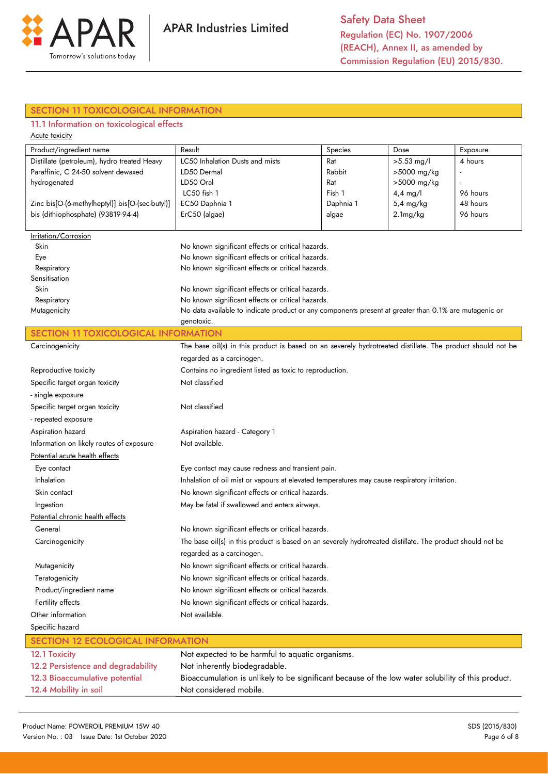

# SECTION 11 TOXICOLOGICAL INFORMATION

# 11.1 Information on toxicological effects

| Acute toxicity                                  |                                                                                                            |           |              |          |
|-------------------------------------------------|------------------------------------------------------------------------------------------------------------|-----------|--------------|----------|
| Product/ingredient name                         | Result                                                                                                     | Species   | Dose         | Exposure |
| Distillate (petroleum), hydro treated Heavy     | LC50 Inhalation Dusts and mists                                                                            | Rat       | $>5.53$ mg/l | 4 hours  |
| Paraffinic, C 24-50 solvent dewaxed             | LD50 Dermal                                                                                                | Rabbit    | >5000 mg/kg  |          |
| hydrogenated                                    | LD50 Oral                                                                                                  | Rat       | >5000 mg/kg  |          |
|                                                 | LC50 fish 1                                                                                                | Fish 1    | $4,4$ mg/l   | 96 hours |
| Zinc bis[O-(6-methylheptyl)] bis[O-(sec-butyl)] | EC50 Daphnia 1                                                                                             | Daphnia 1 | 5,4 mg/kg    | 48 hours |
| bis (dithiophosphate) (93819-94-4)              | ErC50 (algae)                                                                                              | algae     | 2.1mg/kg     | 96 hours |
| Irritation/Corrosion                            |                                                                                                            |           |              |          |
| Skin                                            | No known significant effects or critical hazards.                                                          |           |              |          |
| Eye                                             | No known significant effects or critical hazards.                                                          |           |              |          |
| Respiratory                                     | No known significant effects or critical hazards.                                                          |           |              |          |
| Sensitisation                                   |                                                                                                            |           |              |          |
| Skin                                            | No known significant effects or critical hazards.                                                          |           |              |          |
| Respiratory                                     | No known significant effects or critical hazards.                                                          |           |              |          |
| Mutagenicity                                    | No data available to indicate product or any components present at greater than 0.1% are mutagenic or      |           |              |          |
|                                                 | genotoxic.                                                                                                 |           |              |          |
| <b>SECTION 11 TOXICOLOGICAL INFORMATION</b>     |                                                                                                            |           |              |          |
| Carcinogenicity                                 | The base oil(s) in this product is based on an severely hydrotreated distillate. The product should not be |           |              |          |
|                                                 | regarded as a carcinogen.                                                                                  |           |              |          |
| Reproductive toxicity                           | Contains no ingredient listed as toxic to reproduction.                                                    |           |              |          |
| Specific target organ toxicity                  | Not classified                                                                                             |           |              |          |
| - single exposure                               |                                                                                                            |           |              |          |
| Specific target organ toxicity                  | Not classified                                                                                             |           |              |          |
| - repeated exposure                             |                                                                                                            |           |              |          |
| Aspiration hazard                               | Aspiration hazard - Category 1                                                                             |           |              |          |
| Information on likely routes of exposure        | Not available.                                                                                             |           |              |          |
| Potential acute health effects                  |                                                                                                            |           |              |          |
| Eye contact                                     | Eye contact may cause redness and transient pain.                                                          |           |              |          |
| Inhalation                                      | Inhalation of oil mist or vapours at elevated temperatures may cause respiratory irritation.               |           |              |          |
| Skin contact                                    | No known significant effects or critical hazards.                                                          |           |              |          |
| Ingestion                                       | May be fatal if swallowed and enters airways.                                                              |           |              |          |
| Potential chronic health effects                |                                                                                                            |           |              |          |
| General                                         | No known significant effects or critical hazards.                                                          |           |              |          |
| Carcinogenicity                                 | The base oil(s) in this product is based on an severely hydrotreated distillate. The product should not be |           |              |          |
|                                                 | regarded as a carcinogen.                                                                                  |           |              |          |
|                                                 |                                                                                                            |           |              |          |
| Mutagenicity                                    | No known significant effects or critical hazards.                                                          |           |              |          |
| Teratogenicity                                  | No known significant effects or critical hazards.                                                          |           |              |          |
| Product/ingredient name                         | No known significant effects or critical hazards.                                                          |           |              |          |
| Fertility effects                               | No known significant effects or critical hazards.                                                          |           |              |          |
|                                                 | Other information<br>Not available.                                                                        |           |              |          |
| Specific hazard                                 |                                                                                                            |           |              |          |
| <b>SECTION 12 ECOLOGICAL INFORMATION</b>        |                                                                                                            |           |              |          |
| 12.1 Toxicity                                   | Not expected to be harmful to aquatic organisms.                                                           |           |              |          |
| 12.2 Persistence and degradability              | Not inherently biodegradable.                                                                              |           |              |          |
| 12.3 Bioaccumulative potential                  | Bioaccumulation is unlikely to be significant because of the low water solubility of this product.         |           |              |          |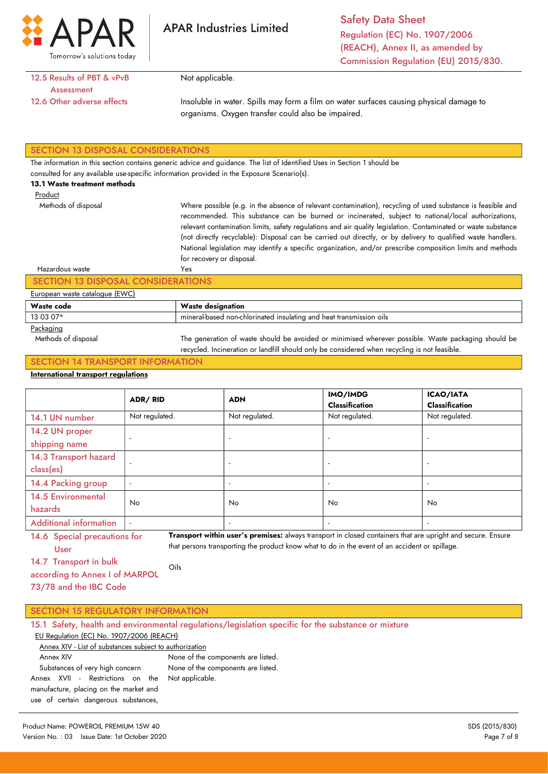

Safety Data Sheet Regulation (EC) No. 1907/2006 (REACH), Annex II, as amended by Commission Regulation (EU) 2015/830.

# 12.5 Results of PBT & vPvB **Assessment** 12.6 Other adverse effects

Not applicable.

Insoluble in water. Spills may form a film on water surfaces causing physical damage to organisms. Oxygen transfer could also be impaired.

## SECTION 13 DISPOSAL CONSIDERATIONS

The information in this section contains generic advice and guidance. The list of Identified Uses in Section 1 should be

consulted for any available use-specific information provided in the Exposure Scenario(s).

Yes

#### 13.1 Waste treatment methods

Methods of disposal

Product

Where possible (e.g. in the absence of relevant contamination), recycling of used substance is feasible and recommended. This substance can be burned or incinerated, subject to national/local authorizations, relevant contamination limits, safety regulations and air quality legislation. Contaminated or waste substance (not directly recyclable): Disposal can be carried out directly, or by delivery to qualified waste handlers. National legislation may identify a specific organization, and/or prescribe composition limits and methods for recovery or disposal.

#### Hazardous waste

## SECTION 13 DISPOSAL CONSIDERATIONS

#### European waste catalogue (EWC)

| Waste code    | <b>Waste designation</b>                                            |  |  |
|---------------|---------------------------------------------------------------------|--|--|
| 13 03 07*     | mineral-based non-chlorinated insulating and heat transmission oils |  |  |
| $\sim$ $\sim$ |                                                                     |  |  |

#### Packaging

 Methods of disposal The generation of waste should be avoided or minimised wherever possible. Waste packaging should be recycled. Incineration or landfill should only be considered when recycling is not feasible.

# SECTION 14 TRANSPORT INFORMATION

## International transport regulations

|                                      | ADR/RID                  | <b>ADN</b>               | IMO/IMDG<br><b>Classification</b> | <b>ICAO/IATA</b><br><b>Classification</b> |
|--------------------------------------|--------------------------|--------------------------|-----------------------------------|-------------------------------------------|
| 14.1 UN number                       | Not regulated.           | Not regulated.           | Not regulated.                    | Not regulated.                            |
| 14.2 UN proper<br>shipping name      | $\overline{\phantom{a}}$ | $\overline{\phantom{a}}$ |                                   |                                           |
| 14.3 Transport hazard<br>class(es)   | $\overline{a}$           |                          |                                   | $\overline{\phantom{a}}$                  |
| 14.4 Packing group                   | $\overline{\phantom{a}}$ | $\overline{\phantom{a}}$ |                                   |                                           |
| <b>14.5 Environmental</b><br>hazards | No.                      | <b>No</b>                | No.                               | No.                                       |
| <b>Additional information</b>        | $\overline{a}$           | $\overline{\phantom{a}}$ |                                   | $\overline{\phantom{a}}$                  |

14.6 Special precautions for User Transport within user's premises: always transport in closed containers that are upright and secure. Ensure that persons transporting the product know what to do in the event of an accident or spillage.

14.7 Transport in bulk

according to Annex I of MARPOL 73/78 and the IBC Code Oils

| <b>SECTION 15 REGULATORY INFORMATION</b> |  |  |  |
|------------------------------------------|--|--|--|
|------------------------------------------|--|--|--|

| 15.1 Safety, health and environmental regulations/legislation specific for the substance or mixture |                                    |  |  |  |
|-----------------------------------------------------------------------------------------------------|------------------------------------|--|--|--|
| EU Regulation (EC) No. 1907/2006 (REACH)                                                            |                                    |  |  |  |
| Annex XIV - List of substances subject to authorization                                             |                                    |  |  |  |
| Annex XIV                                                                                           | None of the components are listed. |  |  |  |
| Substances of very high concern                                                                     | None of the components are listed. |  |  |  |
| Annex XVII - Restrictions on the Not-applicable.                                                    |                                    |  |  |  |
| manufacture, placing on the market and                                                              |                                    |  |  |  |
| use of certain dangerous substances,                                                                |                                    |  |  |  |